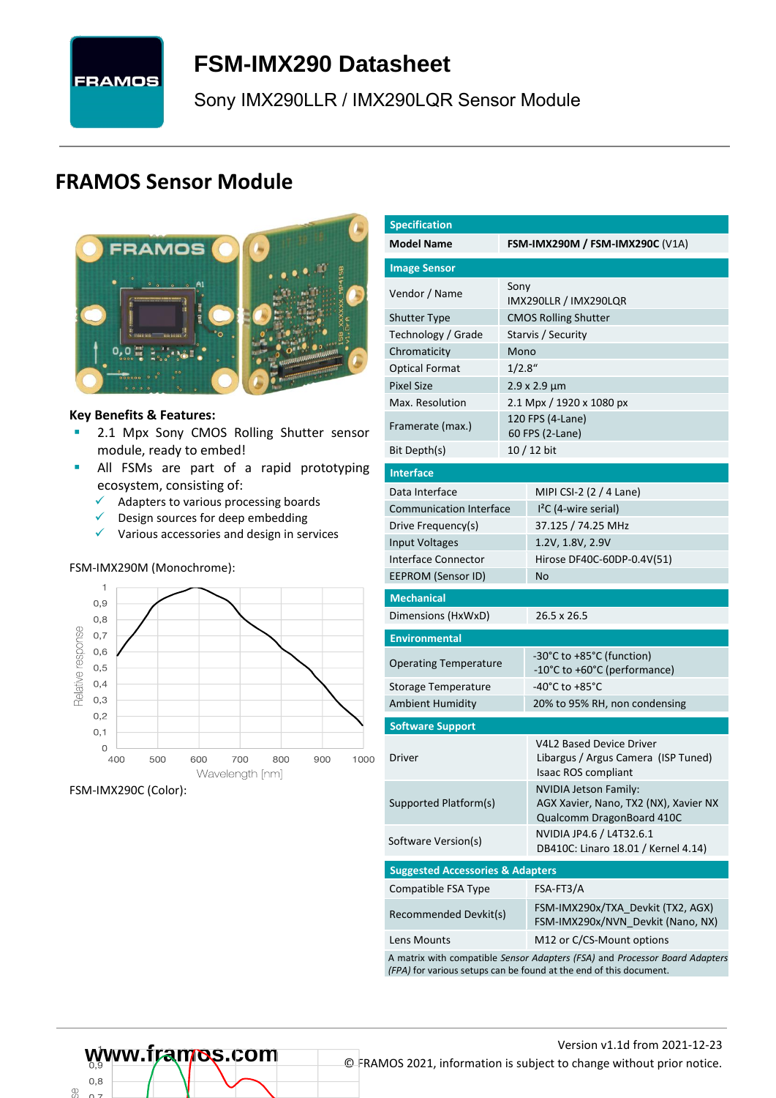# **FRAMOS**

## <span id="page-0-7"></span>**FSM-IMX290 [Datasheet](#page-0-0)**

<span id="page-0-3"></span>[Sony](#page-0-1) [IMX290LLR / IMX290LQR](#page-0-2) Sensor Module

### **FRAMOS Sensor Module**



#### **Key Benefits & Features:**

- **■** [2.1](#page-0-4) Mpx [Sony](#page-0-1) [CMOS Rolling Shutter](#page-0-5) sensor module, ready to embed!
- **E** All FSMs are part of a rapid prototyping ecosystem, consisting of:
	- $\checkmark$  Adapters to various processing boards<br> $\checkmark$  Design sources for deen embedding
	- Design sources for deep embedding
	- ✓ Various accessories and design in services

#### FSM-IMX290M (Monochrome):



FSM-IMX290C (Color):

<span id="page-0-6"></span><span id="page-0-5"></span><span id="page-0-4"></span><span id="page-0-2"></span><span id="page-0-1"></span><span id="page-0-0"></span>

| <b>Specification</b>                        |         |                                                                                                                                                   |  |  |  |  |
|---------------------------------------------|---------|---------------------------------------------------------------------------------------------------------------------------------------------------|--|--|--|--|
| <b>Model Name</b>                           |         | FSM-IMX290M / FSM-IMX290C (V1A)                                                                                                                   |  |  |  |  |
| <b>Image Sensor</b>                         |         |                                                                                                                                                   |  |  |  |  |
| Vendor / Name                               | Sony    | IMX290LLR / IMX290LQR                                                                                                                             |  |  |  |  |
| <b>Shutter Type</b>                         |         | <b>CMOS Rolling Shutter</b>                                                                                                                       |  |  |  |  |
| Technology / Grade                          |         | Starvis / Security                                                                                                                                |  |  |  |  |
| Chromaticity                                | Mono    |                                                                                                                                                   |  |  |  |  |
| <b>Optical Format</b>                       | 1/2.8'' |                                                                                                                                                   |  |  |  |  |
| <b>Pixel Size</b>                           |         | $2.9 \times 2.9 \mu m$                                                                                                                            |  |  |  |  |
| Max. Resolution                             |         | 2.1 Mpx / 1920 x 1080 px                                                                                                                          |  |  |  |  |
| Framerate (max.)                            |         | 120 FPS (4-Lane)<br>60 FPS (2-Lane)                                                                                                               |  |  |  |  |
| Bit Depth(s)                                |         | 10 / 12 bit                                                                                                                                       |  |  |  |  |
| <b>Interface</b>                            |         |                                                                                                                                                   |  |  |  |  |
| Data Interface                              |         | MIPI CSI-2 (2 / 4 Lane)                                                                                                                           |  |  |  |  |
| <b>Communication Interface</b>              |         | $I2C$ (4-wire serial)                                                                                                                             |  |  |  |  |
| Drive Frequency(s)                          |         | 37.125 / 74.25 MHz                                                                                                                                |  |  |  |  |
| <b>Input Voltages</b>                       |         | 1.2V, 1.8V, 2.9V                                                                                                                                  |  |  |  |  |
| Interface Connector                         |         | Hirose DF40C-60DP-0.4V(51)                                                                                                                        |  |  |  |  |
| <b>EEPROM (Sensor ID)</b>                   |         | No                                                                                                                                                |  |  |  |  |
| <b>Mechanical</b>                           |         |                                                                                                                                                   |  |  |  |  |
| Dimensions (HxWxD)                          |         | 26.5 x 26.5                                                                                                                                       |  |  |  |  |
| <b>Environmental</b>                        |         |                                                                                                                                                   |  |  |  |  |
| <b>Operating Temperature</b>                |         | -30°C to +85°C (function)<br>-10°C to +60°C (performance)                                                                                         |  |  |  |  |
| Storage Temperature                         |         | -40°C to +85°C                                                                                                                                    |  |  |  |  |
| <b>Ambient Humidity</b>                     |         | 20% to 95% RH, non condensing                                                                                                                     |  |  |  |  |
| <b>Software Support</b>                     |         |                                                                                                                                                   |  |  |  |  |
| Driver                                      |         | <b>V4L2 Based Device Driver</b><br>Libargus / Argus Camera (ISP Tuned)<br>Isaac ROS compliant                                                     |  |  |  |  |
| Supported Platform(s)                       |         | <b>NVIDIA Jetson Family:</b><br>AGX Xavier, Nano, TX2 (NX), Xavier NX<br>Qualcomm DragonBoard 410C                                                |  |  |  |  |
| Software Version(s)                         |         | NVIDIA JP4.6 / L4T32.6.1<br>DB410C: Linaro 18.01 / Kernel 4.14)                                                                                   |  |  |  |  |
| <b>Suggested Accessories &amp; Adapters</b> |         |                                                                                                                                                   |  |  |  |  |
| Compatible FSA Type                         |         | FSA-FT3/A                                                                                                                                         |  |  |  |  |
| Recommended Devkit(s)                       |         | FSM-IMX290x/TXA_Devkit (TX2, AGX)<br>FSM-IMX290x/NVN_Devkit (Nano, NX)                                                                            |  |  |  |  |
| Lens Mounts                                 |         | M12 or C/CS-Mount options                                                                                                                         |  |  |  |  |
|                                             |         | A matrix with compatible Sensor Adapters (FSA) and Processor Board Adapters<br>(FPA) for various setups can be found at the end of this document. |  |  |  |  |

 $0.8$ œ

# Version [v1.1d](#page-0-3) from 2021-12-23 **www.framos.com** © FRAMOS 2021, information is subject to change without prior notice.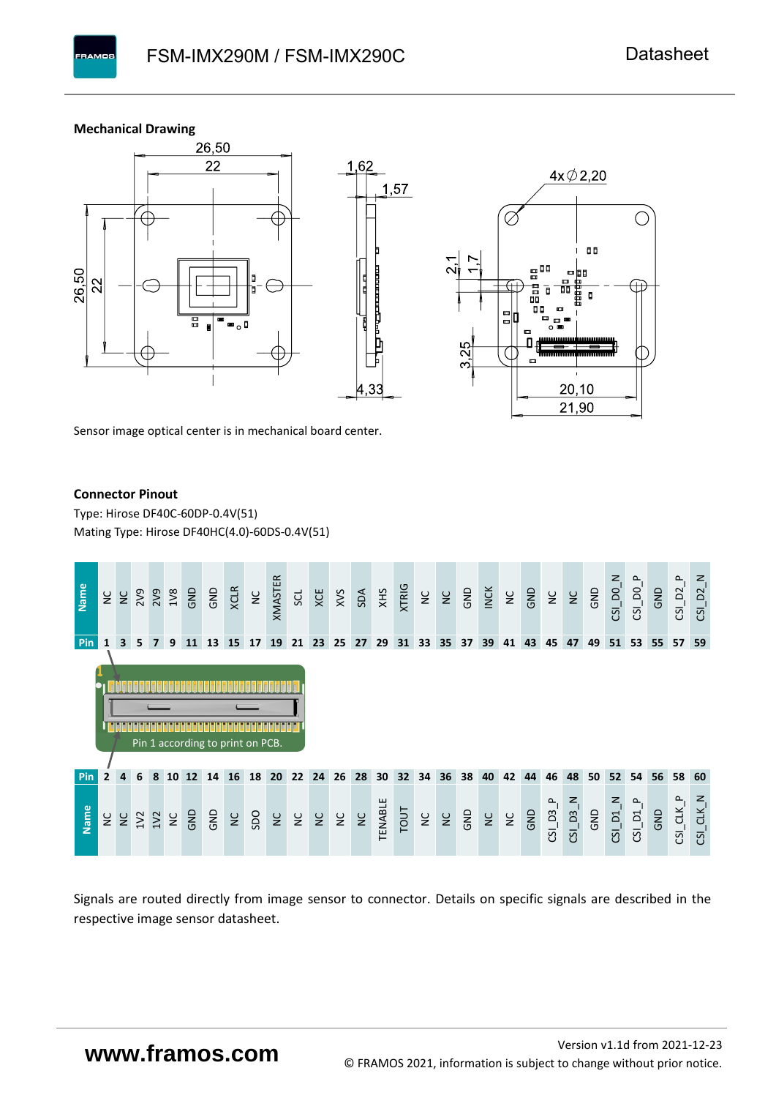**Mechanical Drawing**

**PAMOS** 



Sensor image optical center is in mechanical board center.

#### **Connector Pinout**

Type: [Hirose DF40C-60DP-0.4V\(51](#page-0-6)[\)](#page-0-6)  Mating Type: Hirose DF40HC(4.0)-60DS-0.4V(51)



Signals are routed directly from image sensor to connector. Details on specific signals are described in the respective image sensor datasheet.

### **www.framos.com**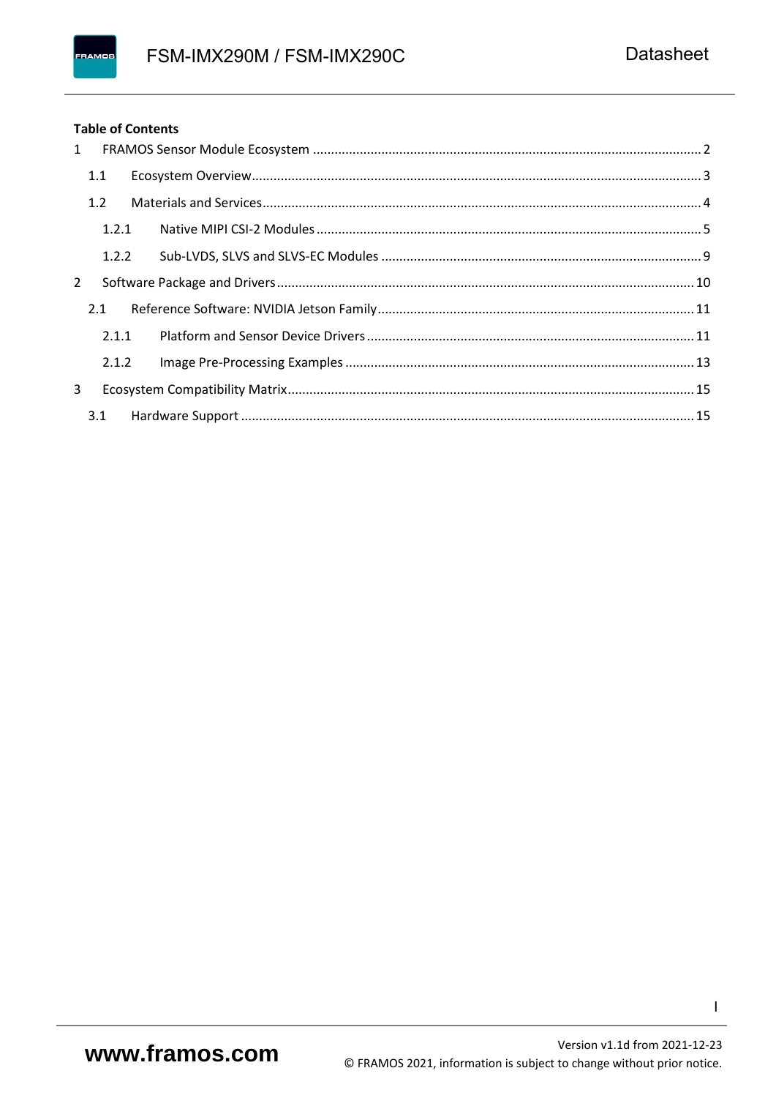#### **Table of Contents**

| $1 \quad$    |       |  |
|--------------|-------|--|
|              | 1.1   |  |
|              | 1.2   |  |
|              | 1.2.1 |  |
|              | 1.2.2 |  |
| $\mathbf{2}$ |       |  |
|              | 2.1   |  |
|              | 2.1.1 |  |
|              | 2.1.2 |  |
| 3            |       |  |
|              | 3.1   |  |

 $\mathbf{I}$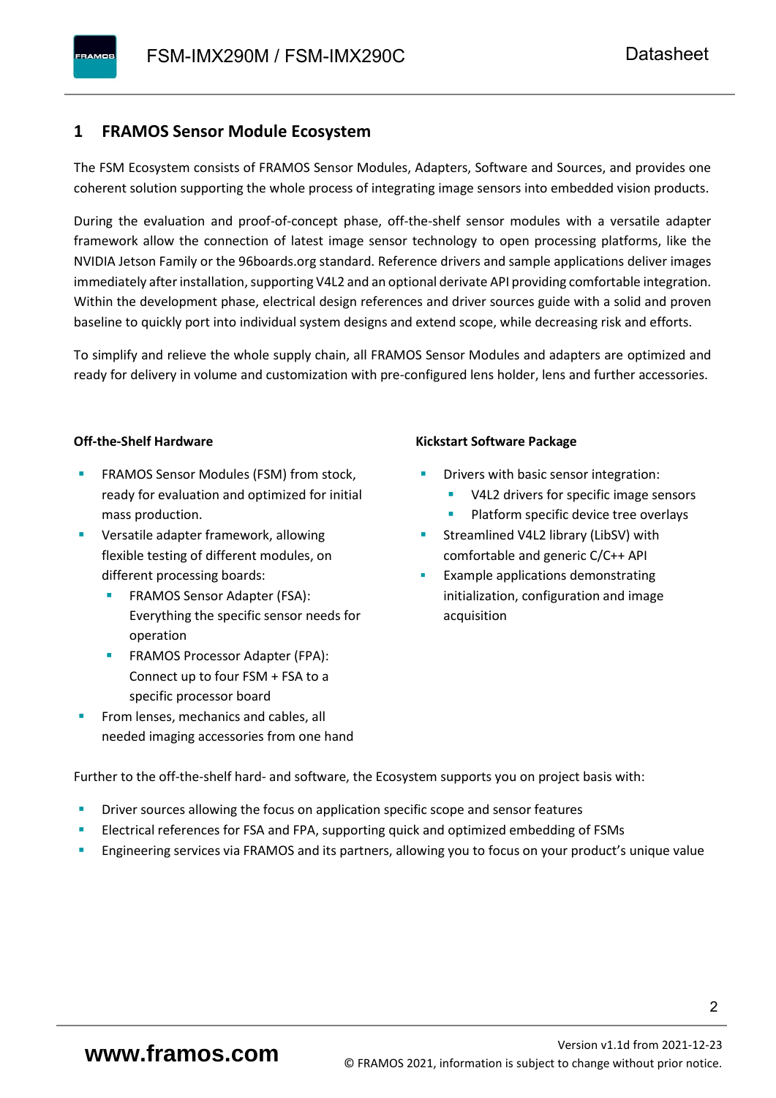#### <span id="page-3-0"></span>**1 FRAMOS Sensor Module Ecosystem**

The FSM Ecosystem consists of FRAMOS Sensor Modules, Adapters, Software and Sources, and provides one coherent solution supporting the whole process of integrating image sensors into embedded vision products.

During the evaluation and proof-of-concept phase, off-the-shelf sensor modules with a versatile adapter framework allow the connection of latest image sensor technology to open processing platforms, like the NVIDIA Jetson Family or the 96boards.org standard. Reference drivers and sample applications deliver images immediately after installation, supporting V4L2 and an optional derivate API providing comfortable integration. Within the development phase, electrical design references and driver sources guide with a solid and proven baseline to quickly port into individual system designs and extend scope, while decreasing risk and efforts.

To simplify and relieve the whole supply chain, all FRAMOS Sensor Modules and adapters are optimized and ready for delivery in volume and customization with pre-configured lens holder, lens and further accessories.

#### **Off-the-Shelf Hardware**

- FRAMOS Sensor Modules (FSM) from stock, ready for evaluation and optimized for initial mass production.
- Versatile adapter framework, allowing flexible testing of different modules, on different processing boards:
	- FRAMOS Sensor Adapter (FSA): Everything the specific sensor needs for operation
	- FRAMOS Processor Adapter (FPA): Connect up to four FSM + FSA to a specific processor board
- From lenses, mechanics and cables, all needed imaging accessories from one hand

#### **Kickstart Software Package**

- Drivers with basic sensor integration:
	- V4L2 drivers for specific image sensors
	- Platform specific device tree overlays
- Streamlined V4L2 library (LibSV) with comfortable and generic C/C++ API
- Example applications demonstrating initialization, configuration and image acquisition

Further to the off-the-shelf hard- and software, the Ecosystem supports you on project basis with:

- Driver sources allowing the focus on application specific scope and sensor features
- Electrical references for FSA and FPA, supporting quick and optimized embedding of FSMs
- Engineering services via FRAMOS and its partners, allowing you to focus on your product's unique value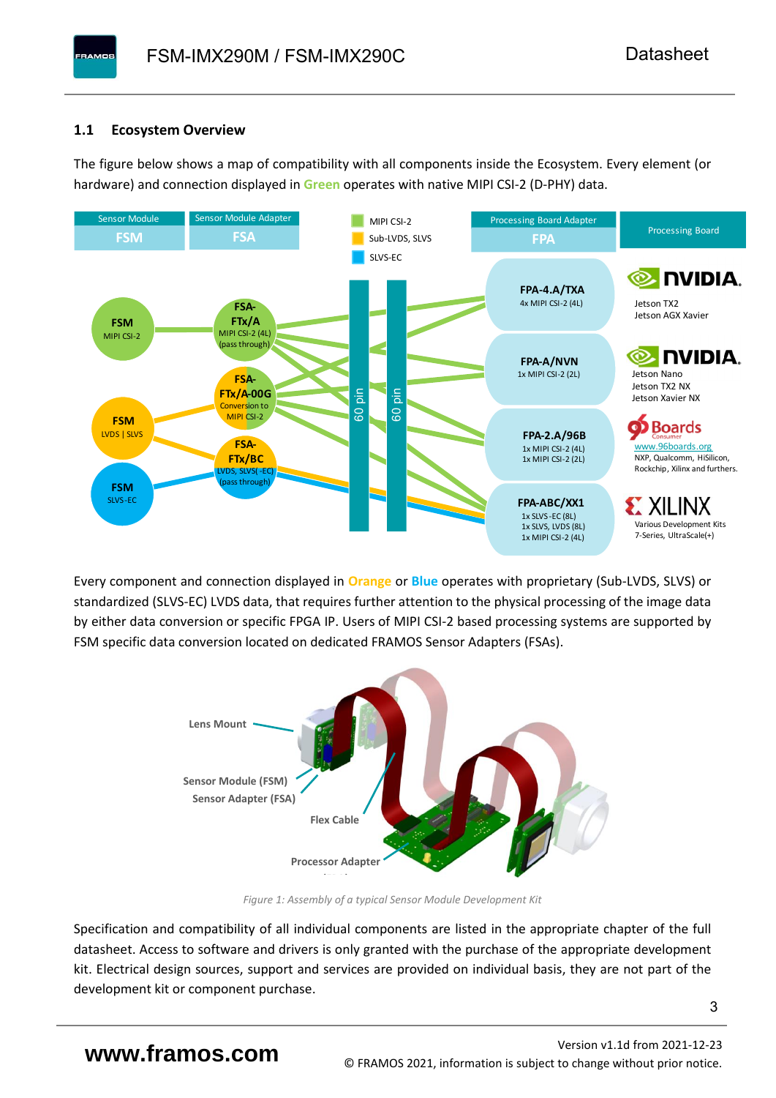#### <span id="page-4-0"></span>**1.1 Ecosystem Overview**

**PAMOS** 

The figure below shows a map of compatibility with all components inside the Ecosystem. Every element (or hardware) and connection displayed in **Green** operates with native MIPI CSI-2 (D-PHY) data.



Every component and connection displayed in **Orange** or **Blue** operates with proprietary (Sub-LVDS, SLVS) or standardized (SLVS-EC) LVDS data, that requires further attention to the physical processing of the image data by either data conversion or specific FPGA IP. Users of MIPI CSI-2 based processing systems are supported by FSM specific data conversion located on dedicated FRAMOS Sensor Adapters (FSAs).



*Figure 1: Assembly of a typical Sensor Module Development Kit*

Specification and compatibility of all individual components are listed in the appropriate chapter of the full datasheet. Access to software and drivers is only granted with the purchase of the appropriate development kit. Electrical design sources, support and services are provided on individual basis, they are not part of the development kit or component purchase.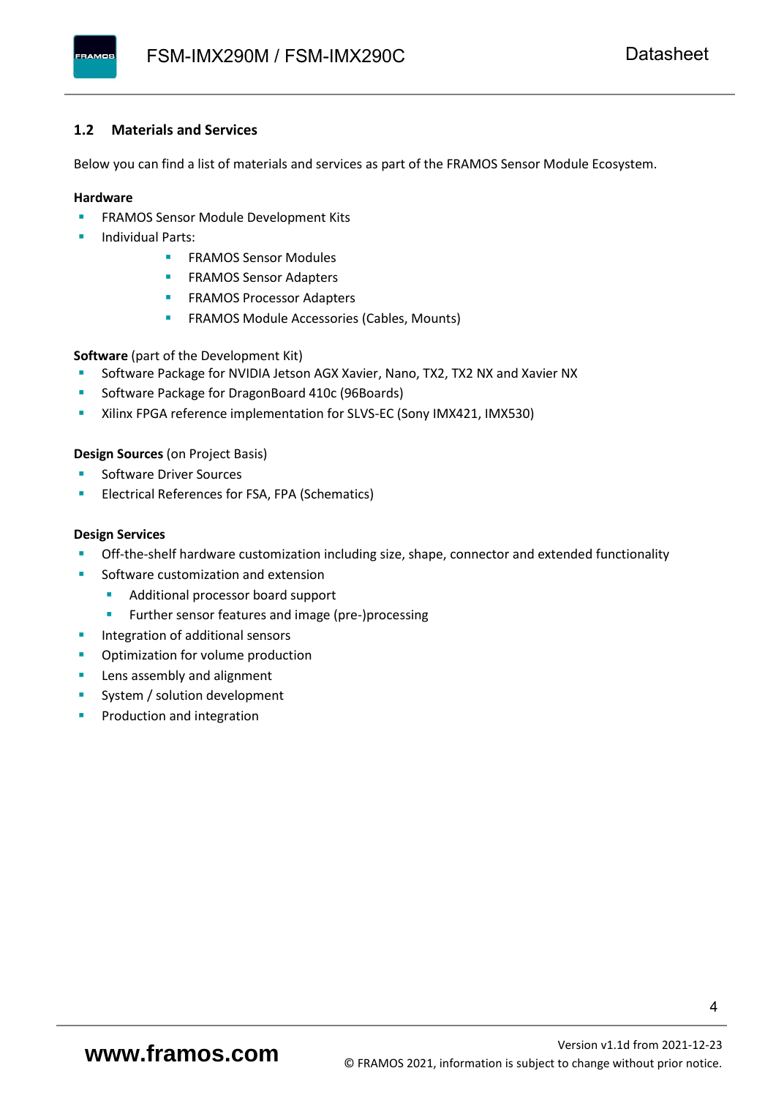#### <span id="page-5-0"></span>**1.2 Materials and Services**

Below you can find a list of materials and services as part of the FRAMOS Sensor Module Ecosystem.

#### **Hardware**

- **EXECTED FRAMOS Sensor Module Development Kits**
- **Individual Parts:** 
	- FRAMOS Sensor Modules
	- **FRAMOS Sensor Adapters**
	- **EXAMOS Processor Adapters**
	- **EXECTED** FRAMOS Module Accessories (Cables, Mounts)

**Software** (part of the Development Kit)

- Software Package for NVIDIA Jetson AGX Xavier, Nano, TX2, TX2 NX and Xavier NX
- Software Package for DragonBoard 410c (96Boards)
- **E** Xilinx FPGA reference implementation for SLVS-EC (Sony IMX421, IMX530)

#### **Design Sources** (on Project Basis)

- Software Driver Sources
- Electrical References for FSA, FPA (Schematics)

#### **Design Services**

- Off-the-shelf hardware customization including size, shape, connector and extended functionality
- Software customization and extension
	- Additional processor board support
	- Further sensor features and image (pre-)processing
- **■** Integration of additional sensors
- Optimization for volume production
- Lens assembly and alignment
- System / solution development
- Production and integration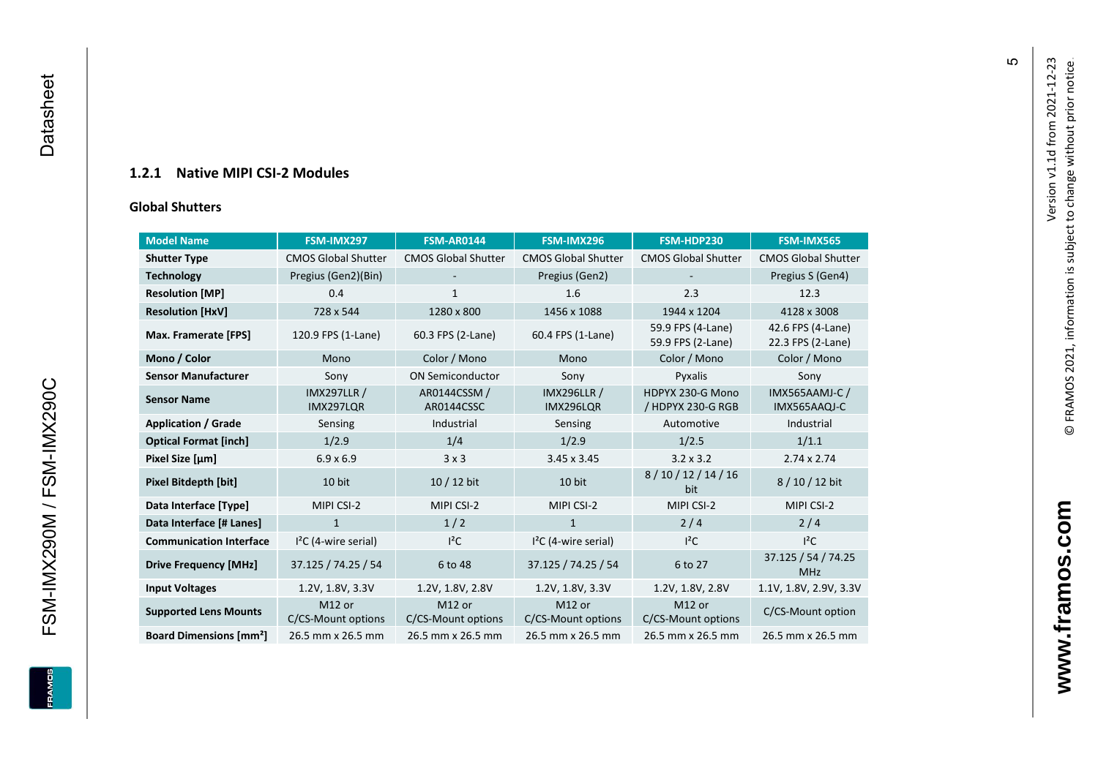#### **1.2.1 Native MIPI CSI - 2 Modules**

#### **[Global Shu](#page-0-7)tters**

<span id="page-6-0"></span>

| <b>Model Name</b>                        | FSM-IMX297                      | <b>FSM-AR0144</b>            | FSM-IMX296                      | FSM-HDP230                             | FSM-IMX565                             |
|------------------------------------------|---------------------------------|------------------------------|---------------------------------|----------------------------------------|----------------------------------------|
| <b>Shutter Type</b>                      | <b>CMOS Global Shutter</b>      | <b>CMOS Global Shutter</b>   | <b>CMOS Global Shutter</b>      | <b>CMOS Global Shutter</b>             | <b>CMOS Global Shutter</b>             |
| <b>Technology</b>                        | Pregius (Gen2)(Bin)             |                              | Pregius (Gen2)                  |                                        | Pregius S (Gen4)                       |
| <b>Resolution [MP]</b>                   | 0.4                             | $\mathbf{1}$                 | 1.6                             | 2.3                                    | 12.3                                   |
| <b>Resolution [HxV]</b>                  | 728 x 544                       | 1280 x 800                   | 1456 x 1088                     | 1944 x 1204                            | 4128 x 3008                            |
| Max. Framerate [FPS]                     | 120.9 FPS (1-Lane)              | 60.3 FPS (2-Lane)            | 60.4 FPS (1-Lane)               | 59.9 FPS (4-Lane)<br>59.9 FPS (2-Lane) | 42.6 FPS (4-Lane)<br>22.3 FPS (2-Lane) |
| Mono / Color                             | Mono                            | Color / Mono                 | Mono                            | Color / Mono                           | Color / Mono                           |
| <b>Sensor Manufacturer</b>               | Sony                            | <b>ON Semiconductor</b>      | Sony                            | Pyxalis                                | Sony                                   |
| <b>Sensor Name</b>                       | <b>IMX297LLR /</b><br>IMX297LQR | AR0144CSSM /<br>AR0144CSSC   | <b>IMX296LLR /</b><br>IMX296LQR | HDPYX 230-G Mono<br>/ HDPYX 230-G RGB  | <b>IMX565AAMJ-C/</b><br>IMX565AAQJ-C   |
| <b>Application / Grade</b>               | Sensing                         | Industrial                   | Sensing                         | Automotive                             | Industrial                             |
| <b>Optical Format [inch]</b>             | 1/2.9                           | 1/4                          | 1/2.9                           | 1/2.5                                  | 1/1.1                                  |
| Pixel Size [µm]                          | $6.9 \times 6.9$                | 3x3                          | $3.45 \times 3.45$              | $3.2 \times 3.2$                       | $2.74 \times 2.74$                     |
| <b>Pixel Bitdepth [bit]</b>              | 10 bit                          | $10/12$ bit                  | 10 bit                          | 8/10/12/14/16<br>bit                   | 8/10/12 bit                            |
| Data Interface [Type]                    | MIPI CSI-2                      | MIPI CSI-2                   | MIPI CSI-2                      | MIPI CSI-2                             | MIPI CSI-2                             |
| Data Interface [# Lanes]                 | $\mathbf{1}$                    | 1/2                          | $\mathbf{1}$                    | 2/4                                    | 2/4                                    |
| <b>Communication Interface</b>           | $I2C$ (4-wire serial)           | $I^2C$                       | $I2C$ (4-wire serial)           | $I^2C$                                 | $I^2C$                                 |
| <b>Drive Frequency [MHz]</b>             | 37.125 / 74.25 / 54             | 6 to 48                      | 37.125 / 74.25 / 54             | 6 to 27                                | 37.125 / 54 / 74.25<br><b>MHz</b>      |
| <b>Input Voltages</b>                    | 1.2V, 1.8V, 3.3V                | 1.2V, 1.8V, 2.8V             | 1.2V, 1.8V, 3.3V                | 1.2V, 1.8V, 2.8V                       | 1.1V, 1.8V, 2.9V, 3.3V                 |
| <b>Supported Lens Mounts</b>             | M12 or<br>C/CS-Mount options    | M12 or<br>C/CS-Mount options | M12 or<br>C/CS-Mount options    | M12 or<br>C/CS-Mount options           | C/CS-Mount option                      |
| <b>Board Dimensions [mm<sup>2</sup>]</b> | 26.5 mm x 26.5 mm               | 26.5 mm x 26.5 mm            | 26.5 mm x 26.5 mm               | 26.5 mm x 26.5 mm                      | 26.5 mm x 26.5 mm                      |

 $\mathfrak{g}$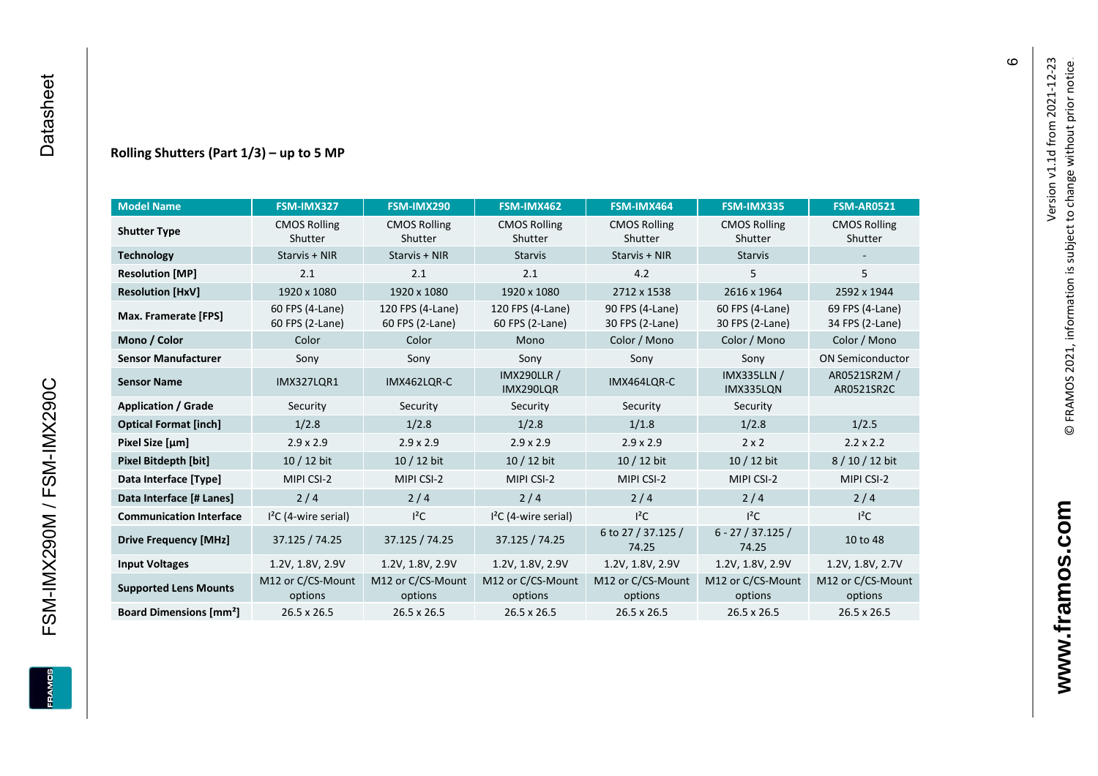FSM-IMX290M / FSM-IMX290C

**ERAMOS** 

#### **Rolling Shutters (Part 1/ 3 ) – up to 5 MP**

| <b>Model Name</b>                        | FSM-IMX327                         | FSM-IMX290                          | FSM-IMX462                          | FSM-IMX464                         | FSM-IMX335                         | <b>FSM-AR0521</b>                  |
|------------------------------------------|------------------------------------|-------------------------------------|-------------------------------------|------------------------------------|------------------------------------|------------------------------------|
| <b>Shutter Type</b>                      | <b>CMOS Rolling</b><br>Shutter     | <b>CMOS Rolling</b><br>Shutter      | <b>CMOS Rolling</b><br>Shutter      | <b>CMOS Rolling</b><br>Shutter     | <b>CMOS Rolling</b><br>Shutter     | <b>CMOS Rolling</b><br>Shutter     |
| <b>Technology</b>                        | Starvis + NIR                      | Starvis + NIR                       | <b>Starvis</b>                      | Starvis + NIR                      | <b>Starvis</b>                     |                                    |
| <b>Resolution [MP]</b>                   | 2.1                                | 2.1                                 | 2.1                                 | 4.2                                | 5                                  | 5                                  |
| <b>Resolution [HxV]</b>                  | 1920 x 1080                        | 1920 x 1080                         | 1920 x 1080                         | 2712 x 1538                        | 2616 x 1964                        | 2592 x 1944                        |
| Max. Framerate [FPS]                     | 60 FPS (4-Lane)<br>60 FPS (2-Lane) | 120 FPS (4-Lane)<br>60 FPS (2-Lane) | 120 FPS (4-Lane)<br>60 FPS (2-Lane) | 90 FPS (4-Lane)<br>30 FPS (2-Lane) | 60 FPS (4-Lane)<br>30 FPS (2-Lane) | 69 FPS (4-Lane)<br>34 FPS (2-Lane) |
| Mono / Color                             | Color                              | Color                               | Mono                                | Color / Mono                       | Color / Mono                       | Color / Mono                       |
| <b>Sensor Manufacturer</b>               | Sony                               | Sony                                | Sony                                | Sony                               | Sony                               | <b>ON Semiconductor</b>            |
| <b>Sensor Name</b>                       | <b>IMX327LQR1</b>                  | IMX462LQR-C                         | <b>IMX290LLR /</b><br>IMX290LQR     | IMX464LQR-C                        | <b>IMX335LLN /</b><br>IMX335LQN    | AR0521SR2M /<br>AR0521SR2C         |
| <b>Application / Grade</b>               | Security                           | Security                            | Security<br>Security                |                                    | Security                           |                                    |
| <b>Optical Format [inch]</b>             | 1/2.8                              | 1/2.8                               | 1/2.8<br>1/1.8                      |                                    | 1/2.8                              | 1/2.5                              |
| Pixel Size [µm]                          | $2.9 \times 2.9$                   | $2.9 \times 2.9$                    | $2.9 \times 2.9$                    | $2.9 \times 2.9$                   | $2 \times 2$                       | $2.2 \times 2.2$                   |
| Pixel Bitdepth [bit]                     | 10 / 12 bit                        | 10 / 12 bit                         | 10 / 12 bit                         | 10 / 12 bit                        | 10 / 12 bit                        | 8/10/12 bit                        |
| Data Interface [Type]                    | MIPI CSI-2                         | MIPI CSI-2                          | MIPI CSI-2                          | MIPI CSI-2                         | MIPI CSI-2                         | MIPI CSI-2                         |
| Data Interface [# Lanes]                 | 2/4                                | 2/4                                 | 2/4                                 | 2/4                                | 2/4                                | 2/4                                |
| <b>Communication Interface</b>           | $I2C$ (4-wire serial)              | $l^2C$                              | $I2C$ (4-wire serial)               | $I^2C$                             | $I^2C$                             | $l^2C$                             |
| <b>Drive Frequency [MHz]</b>             | 37.125 / 74.25                     | 37.125 / 74.25                      | 37.125 / 74.25                      | 6 to 27 / 37.125 /<br>74.25        | $6 - 27 / 37.125 /$<br>74.25       | 10 to 48                           |
| <b>Input Voltages</b>                    | 1.2V, 1.8V, 2.9V                   | 1.2V, 1.8V, 2.9V                    | 1.2V, 1.8V, 2.9V                    | 1.2V, 1.8V, 2.9V                   | 1.2V, 1.8V, 2.9V                   | 1.2V, 1.8V, 2.7V                   |
| <b>Supported Lens Mounts</b>             | M12 or C/CS-Mount<br>options       | M12 or C/CS-Mount<br>options        | M12 or C/CS-Mount<br>options        | M12 or C/CS-Mount<br>options       | M12 or C/CS-Mount<br>options       | M12 or C/CS-Mount<br>options       |
| <b>Board Dimensions [mm<sup>2</sup>]</b> | $26.5 \times 26.5$                 | 26.5 x 26.5                         | 26.5 x 26.5                         | $26.5 \times 26.5$                 | 26.5 x 26.5                        | $26.5 \times 26.5$                 |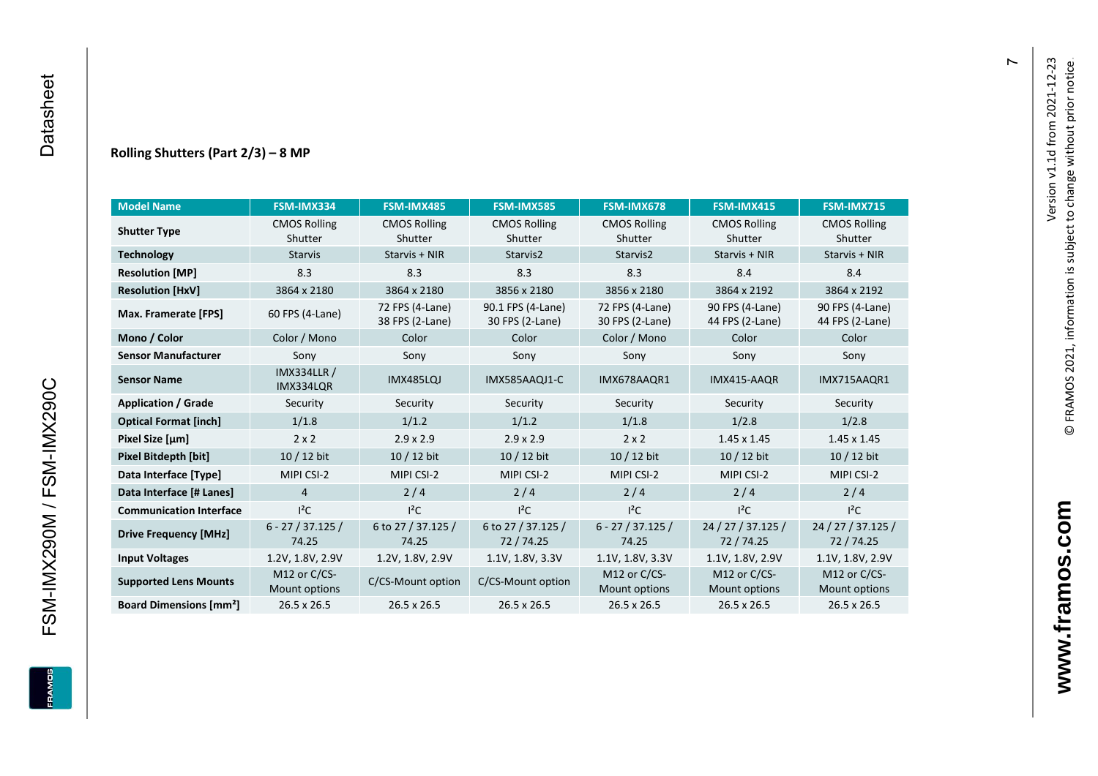#### **Rolling Shutters (Part 2/ 3 ) – 8 MP**

| <b>Model Name</b>                                     | FSM-IMX334                      | FSM-IMX485                         | <b>FSM-IMX585</b>                    | FSM-IMX678                         | FSM-IMX415                         | <b>FSM-IMX715</b>                  |
|-------------------------------------------------------|---------------------------------|------------------------------------|--------------------------------------|------------------------------------|------------------------------------|------------------------------------|
| <b>CMOS Rolling</b><br><b>Shutter Type</b><br>Shutter |                                 | <b>CMOS Rolling</b><br>Shutter     | <b>CMOS Rolling</b><br>Shutter       | <b>CMOS Rolling</b><br>Shutter     | <b>CMOS Rolling</b><br>Shutter     | <b>CMOS Rolling</b><br>Shutter     |
| <b>Technology</b>                                     | <b>Starvis</b>                  | Starvis + NIR                      | Starvis2                             | Starvis2                           | Starvis + NIR                      | Starvis + NIR                      |
| <b>Resolution [MP]</b>                                | 8.3                             | 8.3                                | 8.3                                  | 8.3                                | 8.4                                | 8.4                                |
| <b>Resolution [HxV]</b>                               | 3864 x 2180                     | 3864 x 2180                        | 3856 x 2180                          | 3856 x 2180                        | 3864 x 2192                        | 3864 x 2192                        |
| Max. Framerate [FPS]                                  | 60 FPS (4-Lane)                 | 72 FPS (4-Lane)<br>38 FPS (2-Lane) | 90.1 FPS (4-Lane)<br>30 FPS (2-Lane) | 72 FPS (4-Lane)<br>30 FPS (2-Lane) | 90 FPS (4-Lane)<br>44 FPS (2-Lane) | 90 FPS (4-Lane)<br>44 FPS (2-Lane) |
| Mono / Color                                          | Color / Mono                    | Color                              | Color                                | Color / Mono                       | Color                              | Color                              |
| <b>Sensor Manufacturer</b>                            | Sony                            | Sony                               | Sony                                 | Sony                               | Sony                               | Sony                               |
| <b>Sensor Name</b>                                    | <b>IMX334LLR /</b><br>IMX334LQR | <b>IMX485LQJ</b>                   | IMX585AAQJ1-C                        | IMX678AAQR1                        | IMX415-AAQR                        | IMX715AAQR1                        |
| <b>Application / Grade</b>                            | Security                        | Security                           | Security                             | Security                           | Security                           | Security                           |
| <b>Optical Format [inch]</b>                          | 1/1.8                           | 1/1.2                              | 1/1.2<br>1/1.8                       |                                    | 1/2.8                              | 1/2.8                              |
| Pixel Size [µm]                                       | $2 \times 2$                    | $2.9 \times 2.9$                   | $2.9 \times 2.9$                     | $2 \times 2$                       | $1.45 \times 1.45$                 | $1.45 \times 1.45$                 |
| <b>Pixel Bitdepth [bit]</b>                           | 10 / 12 bit                     | 10 / 12 bit                        | 10 / 12 bit                          | 10 / 12 bit                        | 10 / 12 bit                        | $10/12$ bit                        |
| Data Interface [Type]                                 | MIPI CSI-2                      | MIPI CSI-2                         | MIPI CSI-2                           | MIPI CSI-2                         | MIPI CSI-2                         | MIPI CSI-2                         |
| Data Interface [# Lanes]                              | 4                               | 2/4                                | 2/4                                  | 2/4                                | 2/4                                | 2/4                                |
| <b>Communication Interface</b>                        | $I^2C$                          | $I^2C$                             | $I^2C$                               | $I^2C$                             | $I^2C$                             | $I^2C$                             |
| <b>Drive Frequency [MHz]</b>                          | $6 - 27 / 37.125 /$<br>74.25    | 6 to 27 / 37.125 /<br>74.25        | 6 to 27 / 37.125 /<br>72/74.25       | $6 - 27 / 37.125 /$<br>74.25       | 24 / 27 / 37.125 /<br>72/74.25     | 24 / 27 / 37.125 /<br>72/74.25     |
| <b>Input Voltages</b>                                 | 1.2V, 1.8V, 2.9V                | 1.2V, 1.8V, 2.9V                   | 1.1V, 1.8V, 3.3V                     | 1.1V, 1.8V, 3.3V                   | 1.1V, 1.8V, 2.9V                   | 1.1V, 1.8V, 2.9V                   |
| <b>Supported Lens Mounts</b>                          | M12 or C/CS-<br>Mount options   | C/CS-Mount option                  | C/CS-Mount option                    | M12 or C/CS-<br>Mount options      | M12 or C/CS-<br>Mount options      | M12 or C/CS-<br>Mount options      |
| <b>Board Dimensions [mm<sup>2</sup>]</b>              | 26.5 x 26.5                     | $26.5 \times 26.5$                 | $26.5 \times 26.5$                   | 26.5 x 26.5                        | 26.5 x 26.5                        | 26.5 x 26.5                        |

 $\overline{r}$ 

FSM-IMX290M / FSM-IMX290C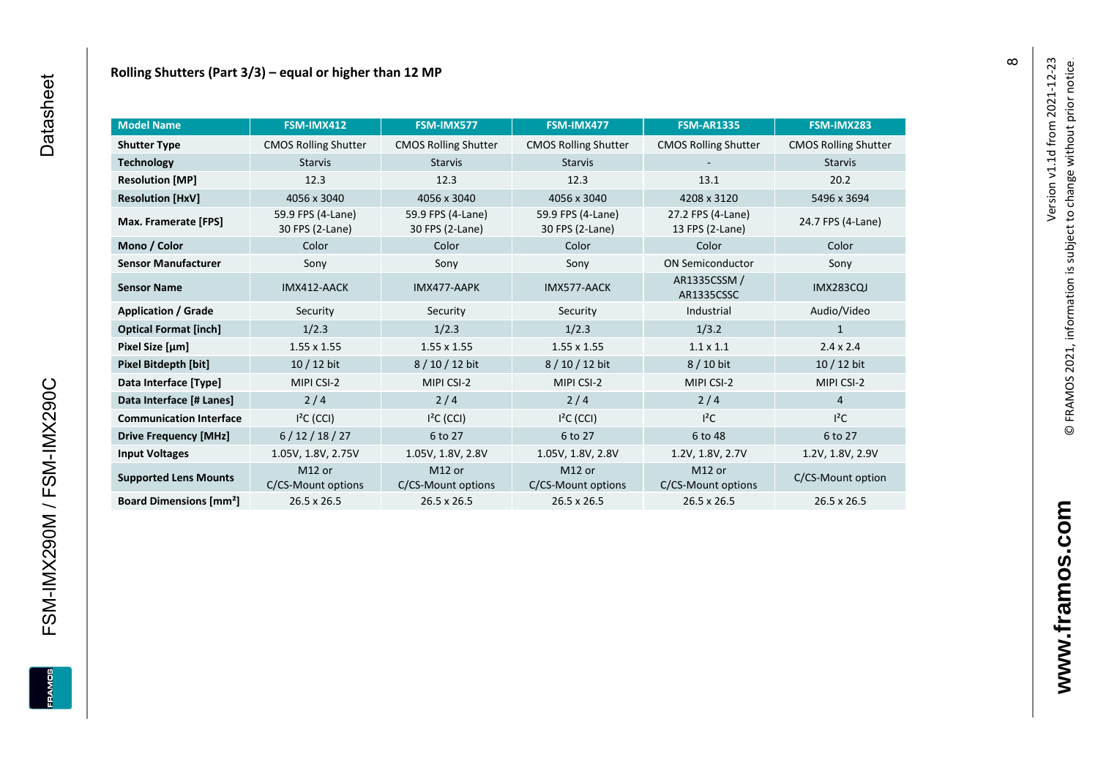| <b>Model Name</b>                        | FSM-IMX412                               | FSM-IMX577                               | FSM-IMX477                               | <b>FSM-AR1335</b>                    | FSM-IMX283                  |
|------------------------------------------|------------------------------------------|------------------------------------------|------------------------------------------|--------------------------------------|-----------------------------|
| <b>Shutter Type</b>                      | <b>CMOS Rolling Shutter</b>              | <b>CMOS Rolling Shutter</b>              | <b>CMOS Rolling Shutter</b>              | <b>CMOS Rolling Shutter</b>          | <b>CMOS Rolling Shutter</b> |
| <b>Technology</b>                        | <b>Starvis</b>                           | <b>Starvis</b>                           | <b>Starvis</b>                           |                                      | <b>Starvis</b>              |
| <b>Resolution [MP]</b>                   | 12.3                                     | 12.3                                     | 12.3                                     | 13.1                                 | 20.2                        |
| <b>Resolution [HxV]</b>                  | 4056 x 3040                              | 4056 x 3040                              | 4056 x 3040                              | 4208 x 3120                          | 5496 x 3694                 |
| Max. Framerate [FPS]                     | 59.9 FPS (4-Lane)<br>30 FPS (2-Lane)     | 59.9 FPS (4-Lane)<br>30 FPS (2-Lane)     | 59.9 FPS (4-Lane)<br>30 FPS (2-Lane)     | 27.2 FPS (4-Lane)<br>13 FPS (2-Lane) | 24.7 FPS (4-Lane)           |
| Mono / Color                             | Color                                    | Color                                    | Color                                    | Color                                | Color                       |
| <b>Sensor Manufacturer</b>               | Sony                                     | Sony                                     | Sony                                     | <b>ON Semiconductor</b>              | Sony                        |
| <b>Sensor Name</b>                       | IMX412-AACK                              | IMX477-AAPK                              | IMX577-AACK                              | AR1335CSSM /<br>AR1335CSSC           | <b>IMX283CQJ</b>            |
| <b>Application / Grade</b>               | Security                                 | Security                                 | Security                                 | Industrial                           | Audio/Video                 |
| <b>Optical Format [inch]</b>             | 1/2.3                                    | 1/2.3                                    | 1/2.3                                    | 1/3.2                                | 1                           |
| Pixel Size [µm]                          | $1.55 \times 1.55$                       | $1.55 \times 1.55$                       | $1.55 \times 1.55$                       | $1.1 \times 1.1$                     | $2.4 \times 2.4$            |
| Pixel Bitdepth [bit]                     | $10/12$ bit                              | 8/10/12 bit                              | 8/10/12 bit                              | 8 / 10 bit                           | $10/12$ bit                 |
| Data Interface [Type]                    | MIPI CSI-2                               | MIPI CSI-2                               | MIPI CSI-2                               | MIPI CSI-2                           | MIPI CSI-2                  |
| Data Interface [# Lanes]                 | 2/4                                      | 2/4                                      | 2/4                                      | 2/4                                  | $\overline{4}$              |
| <b>Communication Interface</b>           | $I2C$ (CCI)                              | $I2C$ (CCI)                              | $I2C$ (CCI)                              | $l^2C$                               | $I^2C$                      |
| <b>Drive Frequency [MHz]</b>             | 6/12/18/27                               | 6 to 27                                  | 6 to 27                                  | 6 to 48                              | 6 to 27                     |
| <b>Input Voltages</b>                    | 1.05V, 1.8V, 2.75V                       | 1.05V, 1.8V, 2.8V                        | 1.05V, 1.8V, 2.8V                        | 1.2V, 1.8V, 2.7V                     | 1.2V, 1.8V, 2.9V            |
| <b>Supported Lens Mounts</b>             | M <sub>12</sub> or<br>C/CS-Mount options | M <sub>12</sub> or<br>C/CS-Mount options | M <sub>12</sub> or<br>C/CS-Mount options | M12 or<br>C/CS-Mount options         | C/CS-Mount option           |
| <b>Board Dimensions [mm<sup>2</sup>]</b> | $26.5 \times 26.5$                       | $26.5 \times 26.5$                       | $26.5 \times 26.5$                       | 26.5 x 26.5                          | 26.5 x 26.5                 |

 $\infty$ 

FSM-IMX290M / FSM-IMX290C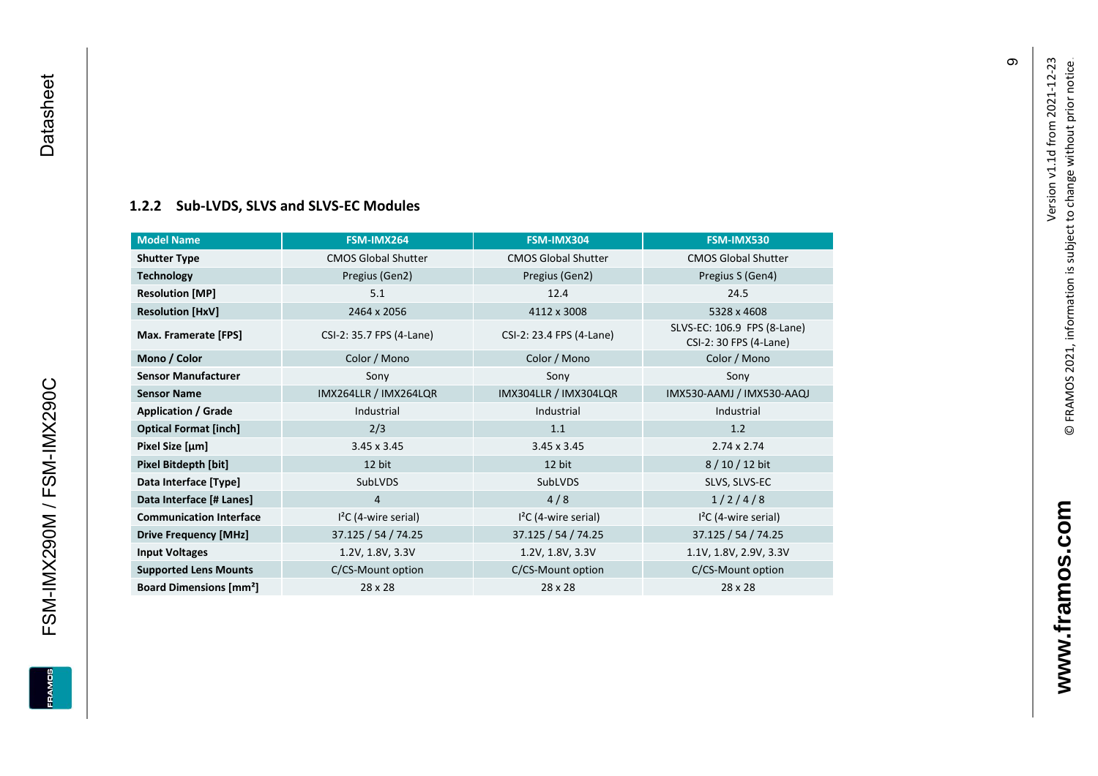#### **[1.2.2](#page-0-7) Sub -LVDS, SLVS and SLVS -EC Modules**

| <b>Model Name</b>                        | FSM-IMX264                 | FSM-IMX304                 | FSM-IMX530                                            |
|------------------------------------------|----------------------------|----------------------------|-------------------------------------------------------|
| <b>Shutter Type</b>                      | <b>CMOS Global Shutter</b> | <b>CMOS Global Shutter</b> | <b>CMOS Global Shutter</b>                            |
| <b>Technology</b>                        | Pregius (Gen2)             | Pregius (Gen2)             | Pregius S (Gen4)                                      |
| <b>Resolution [MP]</b>                   | 5.1                        | 12.4                       | 24.5                                                  |
| <b>Resolution [HxV]</b>                  | 2464 x 2056                | 4112 x 3008                | 5328 x 4608                                           |
| Max. Framerate [FPS]                     | CSI-2: 35.7 FPS (4-Lane)   | CSI-2: 23.4 FPS (4-Lane)   | SLVS-EC: 106.9 FPS (8-Lane)<br>CSI-2: 30 FPS (4-Lane) |
| Mono / Color                             | Color / Mono               | Color / Mono               | Color / Mono                                          |
| <b>Sensor Manufacturer</b>               | Sony                       | Sony                       | Sony                                                  |
| <b>Sensor Name</b>                       | IMX264LLR / IMX264LQR      | IMX304LLR / IMX304LQR      | IMX530-AAMJ / IMX530-AAQJ                             |
| <b>Application / Grade</b>               | Industrial                 | Industrial                 | Industrial                                            |
| <b>Optical Format [inch]</b>             | 2/3                        | 1.1                        | 1.2                                                   |
| Pixel Size [µm]                          | $3.45 \times 3.45$         | $3.45 \times 3.45$         | $2.74 \times 2.74$                                    |
| Pixel Bitdepth [bit]                     | 12 bit                     | 12 bit                     | $8/10/12$ bit                                         |
| Data Interface [Type]                    | SubLVDS                    | SubLVDS                    | SLVS, SLVS-EC                                         |
| Data Interface [# Lanes]                 | $\overline{4}$             | 4/8                        | 1/2/4/8                                               |
| <b>Communication Interface</b>           | $I2C$ (4-wire serial)      | $I2C$ (4-wire serial)      | $I2C$ (4-wire serial)                                 |
| <b>Drive Frequency [MHz]</b>             | 37.125 / 54 / 74.25        | 37.125 / 54 / 74.25        | 37.125 / 54 / 74.25                                   |
| <b>Input Voltages</b>                    | 1.2V, 1.8V, 3.3V           | 1.2V, 1.8V, 3.3V           | 1.1V, 1.8V, 2.9V, 3.3V                                |
| <b>Supported Lens Mounts</b>             | C/CS-Mount option          | C/CS-Mount option          | C/CS-Mount option                                     |
| <b>Board Dimensions [mm<sup>2</sup>]</b> | 28 x 28                    | 28 x 28                    | 28 x 28                                               |

FSM-IMX290M / FSM-IMX290C Datasheet

<span id="page-10-0"></span>FSM-IMX290M / FSM-IMX290C

Datasheet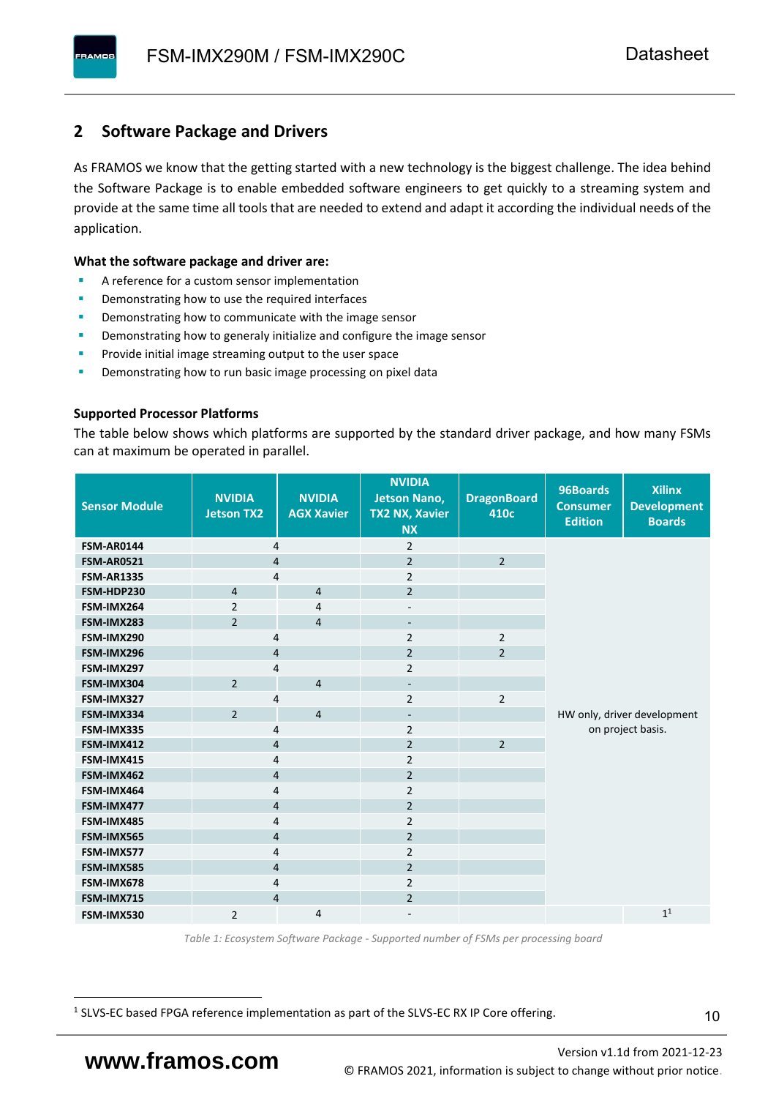### <span id="page-11-0"></span>**2 Software Package and Drivers**

As FRAMOS we know that the getting started with a new technology is the biggest challenge. The idea behind the Software Package is to enable embedded software engineers to get quickly to a streaming system and provide at the same time all tools that are needed to extend and adapt it according the individual needs of the application.

#### **What the software package and driver are:**

- A reference for a custom sensor implementation
- Demonstrating how to use the required interfaces
- Demonstrating how to communicate with the image sensor
- Demonstrating how to generaly initialize and configure the image sensor
- Provide initial image streaming output to the user space
- Demonstrating how to run basic image processing on pixel data

#### **Supported Processor Platforms**

The table below shows which platforms are supported by the standard driver package, and how many FSMs can at maximum be operated in parallel.

| <b>Sensor Module</b> | <b>NVIDIA</b><br><b>Jetson TX2</b> | <b>NVIDIA</b><br><b>AGX Xavier</b> | <b>NVIDIA</b><br><b>Jetson Nano,</b><br><b>TX2 NX, Xavier</b><br><b>NX</b> | <b>DragonBoard</b><br>410c | 96Boards<br><b>Consumer</b><br><b>Edition</b> | <b>Xilinx</b><br><b>Development</b><br><b>Boards</b> |
|----------------------|------------------------------------|------------------------------------|----------------------------------------------------------------------------|----------------------------|-----------------------------------------------|------------------------------------------------------|
| <b>FSM-AR0144</b>    | $\overline{4}$                     |                                    | $\overline{2}$                                                             |                            |                                               |                                                      |
| <b>FSM-AR0521</b>    | $\overline{4}$                     |                                    | $\overline{2}$                                                             | $\overline{2}$             |                                               |                                                      |
| <b>FSM-AR1335</b>    | 4                                  |                                    | $\overline{2}$                                                             |                            |                                               |                                                      |
| FSM-HDP230           | $\overline{4}$                     | $\overline{4}$                     | $\overline{2}$                                                             |                            |                                               |                                                      |
| FSM-IMX264           | $\overline{2}$                     | $\overline{4}$                     | $\overline{\phantom{a}}$                                                   |                            |                                               |                                                      |
| FSM-IMX283           | $\overline{2}$                     | $\overline{4}$                     | $\overline{\phantom{a}}$                                                   |                            |                                               |                                                      |
| FSM-IMX290           | 4                                  |                                    | $\overline{2}$                                                             | $\overline{2}$             |                                               |                                                      |
| FSM-IMX296           | 4                                  |                                    | $\overline{2}$                                                             | $\overline{2}$             |                                               |                                                      |
| FSM-IMX297           | 4                                  |                                    | $\overline{2}$                                                             |                            |                                               |                                                      |
| FSM-IMX304           | $\overline{2}$                     | $\overline{4}$                     | $\overline{\phantom{a}}$                                                   |                            |                                               |                                                      |
| FSM-IMX327           | 4                                  |                                    | $\overline{2}$                                                             | $\overline{2}$             |                                               |                                                      |
| FSM-IMX334           | $\overline{2}$                     | $\overline{4}$                     | $\overline{\phantom{0}}$                                                   |                            |                                               | HW only, driver development                          |
| FSM-IMX335           | 4                                  |                                    | $\overline{2}$                                                             |                            |                                               | on project basis.                                    |
| FSM-IMX412           | $\overline{4}$                     |                                    | $\overline{2}$                                                             | $\overline{2}$             |                                               |                                                      |
| FSM-IMX415           | $\overline{4}$                     |                                    | $\overline{2}$                                                             |                            |                                               |                                                      |
| FSM-IMX462           | $\overline{4}$                     |                                    | $\overline{2}$                                                             |                            |                                               |                                                      |
| FSM-IMX464           | 4                                  |                                    | $\overline{2}$                                                             |                            |                                               |                                                      |
| FSM-IMX477           | 4                                  |                                    | $\overline{2}$                                                             |                            |                                               |                                                      |
| FSM-IMX485           | 4                                  |                                    | $\overline{2}$                                                             |                            |                                               |                                                      |
| FSM-IMX565           | $\overline{4}$                     |                                    | $\overline{2}$                                                             |                            |                                               |                                                      |
| FSM-IMX577           | $\overline{4}$                     |                                    | $\overline{2}$                                                             |                            |                                               |                                                      |
| FSM-IMX585           | $\overline{4}$                     |                                    | $\overline{2}$                                                             |                            |                                               |                                                      |
| FSM-IMX678           | 4                                  |                                    | $\overline{2}$                                                             |                            |                                               |                                                      |
| FSM-IMX715           | $\overline{4}$                     |                                    | $\overline{2}$                                                             |                            |                                               |                                                      |
| FSM-IMX530           | $\overline{2}$                     | $\overline{4}$                     |                                                                            |                            |                                               | 1 <sup>1</sup>                                       |

*Table 1: Ecosystem Software Package - Supported number of FSMs per processing board*

<sup>1</sup> SLVS-EC based FPGA reference implementation as part of the SLVS-EC RX IP Core offering.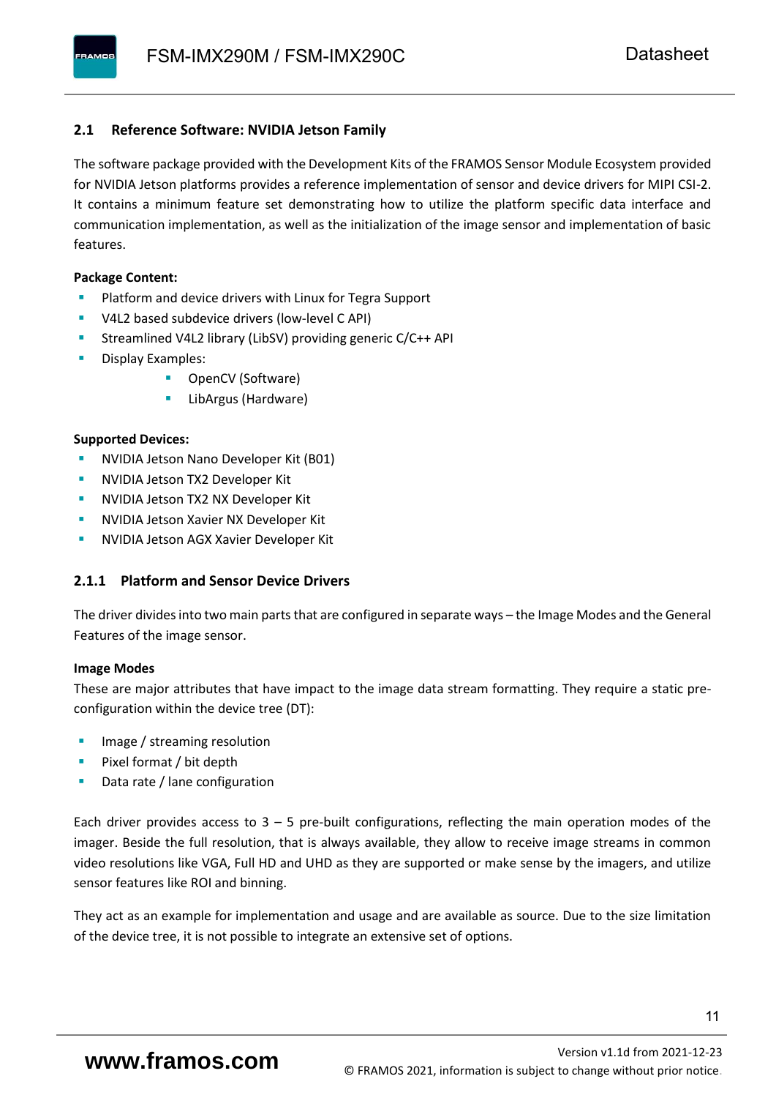#### <span id="page-12-0"></span>**2.1 Reference Software: NVIDIA Jetson Family**

The software package provided with the Development Kits of the FRAMOS Sensor Module Ecosystem provided for NVIDIA Jetson platforms provides a reference implementation of sensor and device drivers for MIPI CSI-2. It contains a minimum feature set demonstrating how to utilize the platform specific data interface and communication implementation, as well as the initialization of the image sensor and implementation of basic features.

#### **Package Content:**

- Platform and device drivers with Linux for Tegra Support
- V4L2 based subdevice drivers (low-level C API)
- Streamlined V4L2 library (LibSV) providing generic C/C++ API
- Display Examples:
	- OpenCV (Software)
	- LibArgus (Hardware)

#### **Supported Devices:**

- NVIDIA Jetson Nano Developer Kit (B01)
- **NVIDIA Jetson TX2 Developer Kit**
- NVIDIA Jetson TX2 NX Developer Kit
- **NVIDIA Jetson Xavier NX Developer Kit**
- **NVIDIA Jetson AGX Xavier Developer Kit**

#### <span id="page-12-1"></span>**2.1.1 Platform and Sensor Device Drivers**

The driver divides into two main parts that are configured in separate ways – the Image Modes and the General Features of the image sensor.

#### **Image Modes**

These are major attributes that have impact to the image data stream formatting. They require a static preconfiguration within the device tree (DT):

- Image / streaming resolution
- Pixel format / bit depth
- Data rate / lane configuration

Each driver provides access to  $3 - 5$  pre-built configurations, reflecting the main operation modes of the imager. Beside the full resolution, that is always available, they allow to receive image streams in common video resolutions like VGA, Full HD and UHD as they are supported or make sense by the imagers, and utilize sensor features like ROI and binning.

They act as an example for implementation and usage and are available as source. Due to the size limitation of the device tree, it is not possible to integrate an extensive set of options.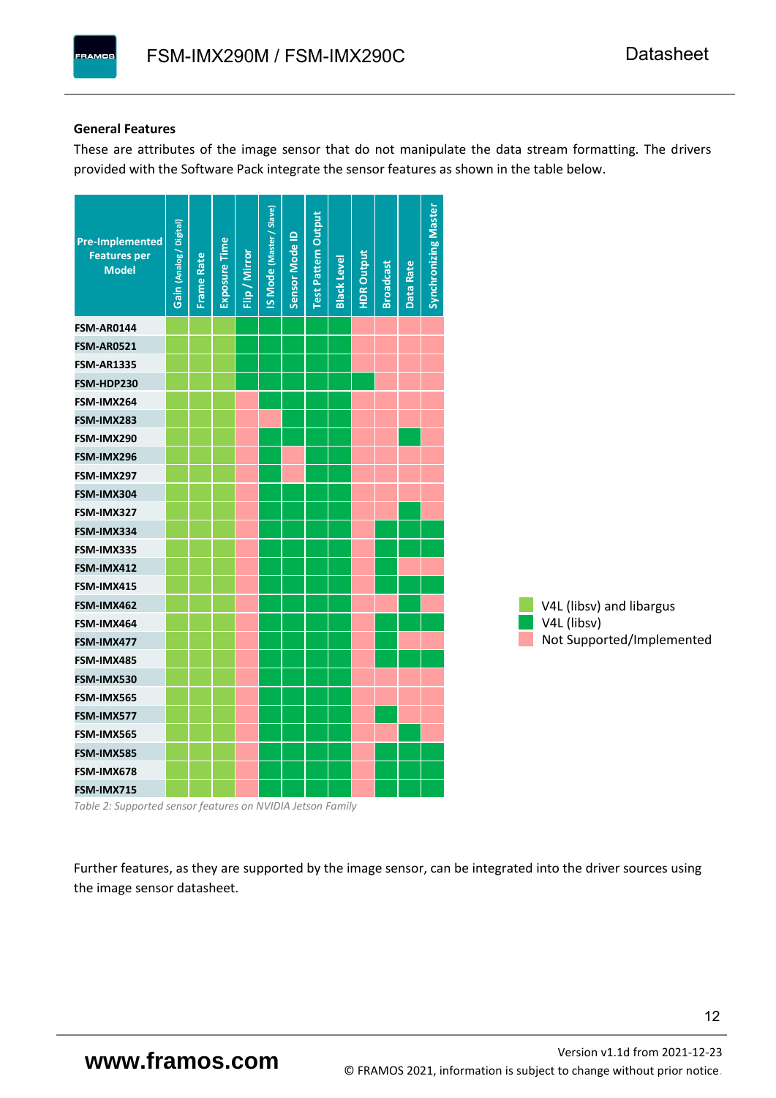#### **General Features**

These are attributes of the image sensor that do not manipulate the data stream formatting. The drivers provided with the Software Pack integrate the sensor features as shown in the table below.

| <b>Pre-Implemented</b><br><b>Features per</b><br><b>Model</b> | Gain (Analog / Digital) | <b>Frame Rate</b> | Exposure Time | Flip / Mirror | <b>IS Mode (Master / Slave)</b> | Sensor Mode ID | <b>Test Pattern Output</b> | <b>Black Level</b> | <b>HDR Output</b> | <b>Broadcast</b> | Data Rate | <b>Synchronizing Master</b> |                           |
|---------------------------------------------------------------|-------------------------|-------------------|---------------|---------------|---------------------------------|----------------|----------------------------|--------------------|-------------------|------------------|-----------|-----------------------------|---------------------------|
| <b>FSM-AR0144</b>                                             |                         |                   |               |               |                                 |                |                            |                    |                   |                  |           |                             |                           |
| <b>FSM-AR0521</b>                                             |                         |                   |               |               |                                 |                |                            |                    |                   |                  |           |                             |                           |
| <b>FSM-AR1335</b>                                             |                         |                   |               |               |                                 |                |                            |                    |                   |                  |           |                             |                           |
| FSM-HDP230                                                    |                         |                   |               |               |                                 |                |                            |                    |                   |                  |           |                             |                           |
| FSM-IMX264                                                    |                         |                   |               |               |                                 |                |                            |                    |                   |                  |           |                             |                           |
| FSM-IMX283                                                    |                         |                   |               |               |                                 |                |                            |                    |                   |                  |           |                             |                           |
| FSM-IMX290                                                    |                         |                   |               |               |                                 |                |                            |                    |                   |                  |           |                             |                           |
| FSM-IMX296                                                    |                         |                   |               |               |                                 |                |                            |                    |                   |                  |           |                             |                           |
| FSM-IMX297                                                    |                         |                   |               |               |                                 |                |                            |                    |                   |                  |           |                             |                           |
| FSM-IMX304                                                    |                         |                   |               |               |                                 |                |                            |                    |                   |                  |           |                             |                           |
| FSM-IMX327                                                    |                         |                   |               |               |                                 |                |                            |                    |                   |                  |           |                             |                           |
| FSM-IMX334                                                    |                         |                   |               |               |                                 |                |                            |                    |                   |                  |           |                             |                           |
| FSM-IMX335                                                    |                         |                   |               |               |                                 |                |                            |                    |                   |                  |           |                             |                           |
| FSM-IMX412                                                    |                         |                   |               |               |                                 |                |                            |                    |                   |                  |           |                             |                           |
| FSM-IMX415                                                    |                         |                   |               |               |                                 |                |                            |                    |                   |                  |           |                             |                           |
| FSM-IMX462                                                    |                         |                   |               |               |                                 |                |                            |                    |                   |                  |           |                             | V4L (libsv) and libargus  |
| FSM-IMX464                                                    |                         |                   |               |               |                                 |                |                            |                    |                   |                  |           |                             | V4L (libsv)               |
| FSM-IMX477                                                    |                         |                   |               |               |                                 |                |                            |                    |                   |                  |           |                             | Not Supported/Implemented |
| FSM-IMX485                                                    |                         |                   |               |               |                                 |                |                            |                    |                   |                  |           |                             |                           |
| FSM-IMX530                                                    |                         |                   |               |               |                                 |                |                            |                    |                   |                  |           |                             |                           |
| FSM-IMX565                                                    |                         |                   |               |               |                                 |                |                            |                    |                   |                  |           |                             |                           |
| FSM-IMX577                                                    |                         |                   |               |               |                                 |                |                            |                    |                   |                  |           |                             |                           |
| FSM-IMX565                                                    |                         |                   |               |               |                                 |                |                            |                    |                   |                  |           |                             |                           |
| FSM-IMX585                                                    |                         |                   |               |               |                                 |                |                            |                    |                   |                  |           |                             |                           |
| FSM-IMX678                                                    |                         |                   |               |               |                                 |                |                            |                    |                   |                  |           |                             |                           |
| FSM-IMX715                                                    |                         |                   |               |               |                                 |                |                            |                    |                   |                  |           |                             |                           |

*Table 2: Supported sensor features on NVIDIA Jetson Family*

Further features, as they are supported by the image sensor, can be integrated into the driver sources using the image sensor datasheet.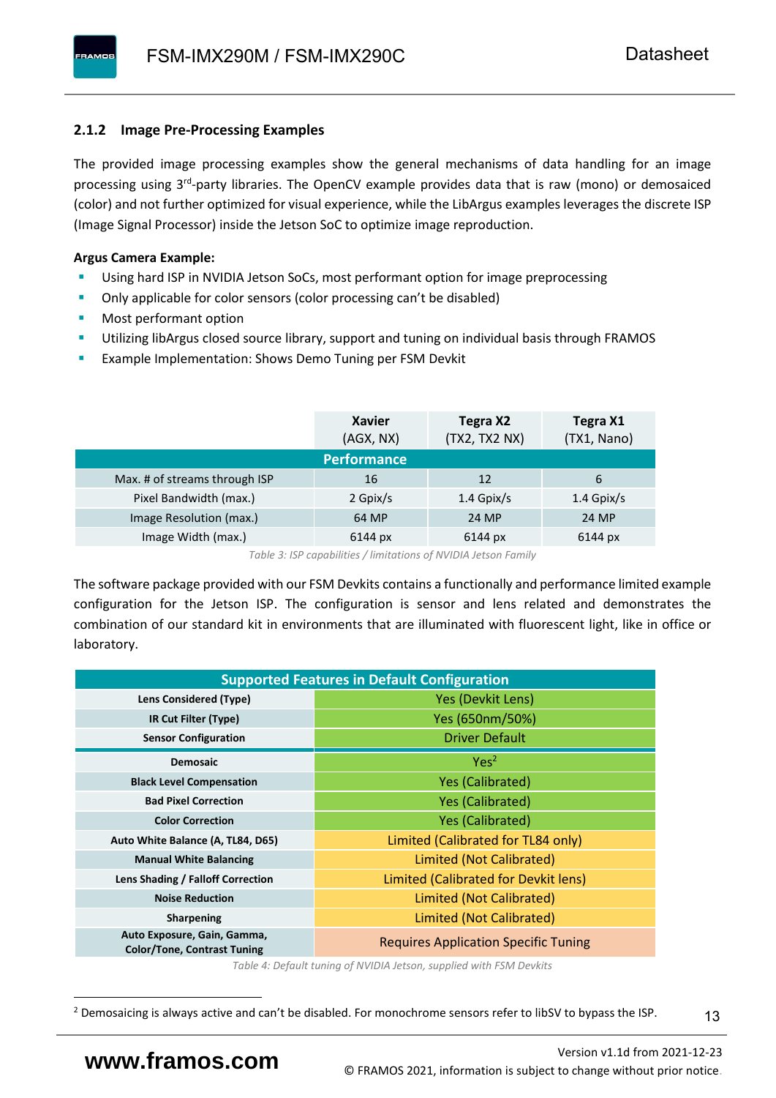#### <span id="page-14-0"></span>**2.1.2 Image Pre-Processing Examples**

The provided image processing examples show the general mechanisms of data handling for an image processing using 3<sup>rd</sup>-party libraries. The OpenCV example provides data that is raw (mono) or demosaiced (color) and not further optimized for visual experience, while the LibArgus examples leverages the discrete ISP (Image Signal Processor) inside the Jetson SoC to optimize image reproduction.

#### **Argus Camera Example:**

- Using hard ISP in NVIDIA Jetson SoCs, most performant option for image preprocessing
- Only applicable for color sensors (color processing can't be disabled)
- Most performant option
- Utilizing libArgus closed source library, support and tuning on individual basis through FRAMOS
- Example Implementation: Shows Demo Tuning per FSM Devkit

|                               | <b>Xavier</b><br>(AGX, NX) | Tegra X2<br>(TX2, TX2 NX) | Tegra X1<br>(TX1, Nano) |
|-------------------------------|----------------------------|---------------------------|-------------------------|
|                               | <b>Performance</b>         |                           |                         |
| Max. # of streams through ISP | 16                         | 12                        | 6                       |
| Pixel Bandwidth (max.)        | 2 Gpix/s                   | $1.4$ Gpix/s              | $1.4$ Gpix/s            |
| Image Resolution (max.)       | 64 MP                      | 24 MP                     | 24 MP                   |
| Image Width (max.)            | 6144 px                    | 6144 px                   | 6144 px                 |

*Table 3: ISP capabilities / limitations of NVIDIA Jetson Family*

The software package provided with our FSM Devkits contains a functionally and performance limited example configuration for the Jetson ISP. The configuration is sensor and lens related and demonstrates the combination of our standard kit in environments that are illuminated with fluorescent light, like in office or laboratory.

|                                                                   | <b>Supported Features in Default Configuration</b> |  |  |  |  |
|-------------------------------------------------------------------|----------------------------------------------------|--|--|--|--|
| Lens Considered (Type)                                            | Yes (Devkit Lens)                                  |  |  |  |  |
| IR Cut Filter (Type)                                              | Yes (650nm/50%)                                    |  |  |  |  |
| <b>Sensor Configuration</b>                                       | <b>Driver Default</b>                              |  |  |  |  |
| <b>Demosaic</b>                                                   | Yes <sup>2</sup>                                   |  |  |  |  |
| <b>Black Level Compensation</b>                                   | <b>Yes (Calibrated)</b>                            |  |  |  |  |
| <b>Bad Pixel Correction</b>                                       | <b>Yes (Calibrated)</b>                            |  |  |  |  |
| <b>Color Correction</b>                                           | <b>Yes (Calibrated)</b>                            |  |  |  |  |
| Auto White Balance (A, TL84, D65)                                 | Limited (Calibrated for TL84 only)                 |  |  |  |  |
| <b>Manual White Balancing</b>                                     | Limited (Not Calibrated)                           |  |  |  |  |
| Lens Shading / Falloff Correction                                 | Limited (Calibrated for Devkit lens)               |  |  |  |  |
| <b>Noise Reduction</b>                                            | Limited (Not Calibrated)                           |  |  |  |  |
| <b>Sharpening</b>                                                 | Limited (Not Calibrated)                           |  |  |  |  |
| Auto Exposure, Gain, Gamma,<br><b>Color/Tone, Contrast Tuning</b> | <b>Requires Application Specific Tuning</b>        |  |  |  |  |

*Table 4: Default tuning of NVIDIA Jetson, supplied with FSM Devkits*

13

<sup>&</sup>lt;sup>2</sup> Demosaicing is always active and can't be disabled. For monochrome sensors refer to libSV to bypass the ISP.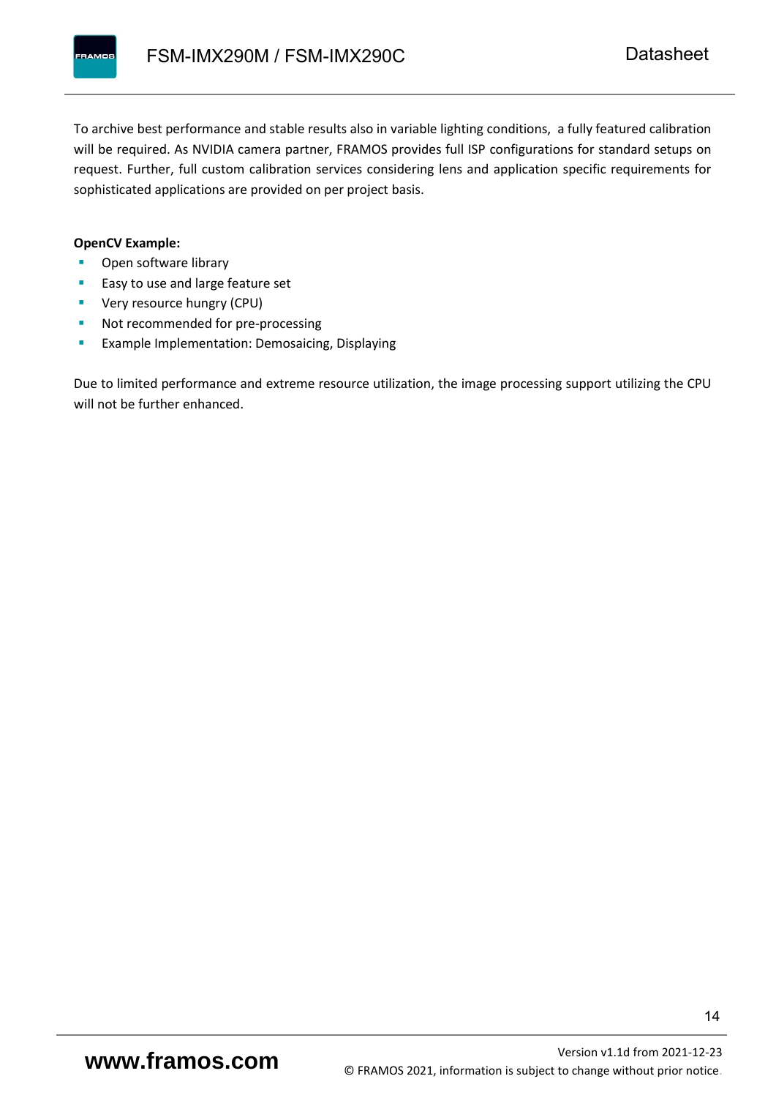To archive best performance and stable results also in variable lighting conditions, a fully featured calibration will be required. As NVIDIA camera partner, FRAMOS provides full ISP configurations for standard setups on request. Further, full custom calibration services considering lens and application specific requirements for sophisticated applications are provided on per project basis.

#### **OpenCV Example:**

- Open software library
- Easy to use and large feature set
- **•** Very resource hungry (CPU)
- Not recommended for pre-processing
- **Example Implementation: Demosaicing, Displaying**

Due to limited performance and extreme resource utilization, the image processing support utilizing the CPU will not be further enhanced.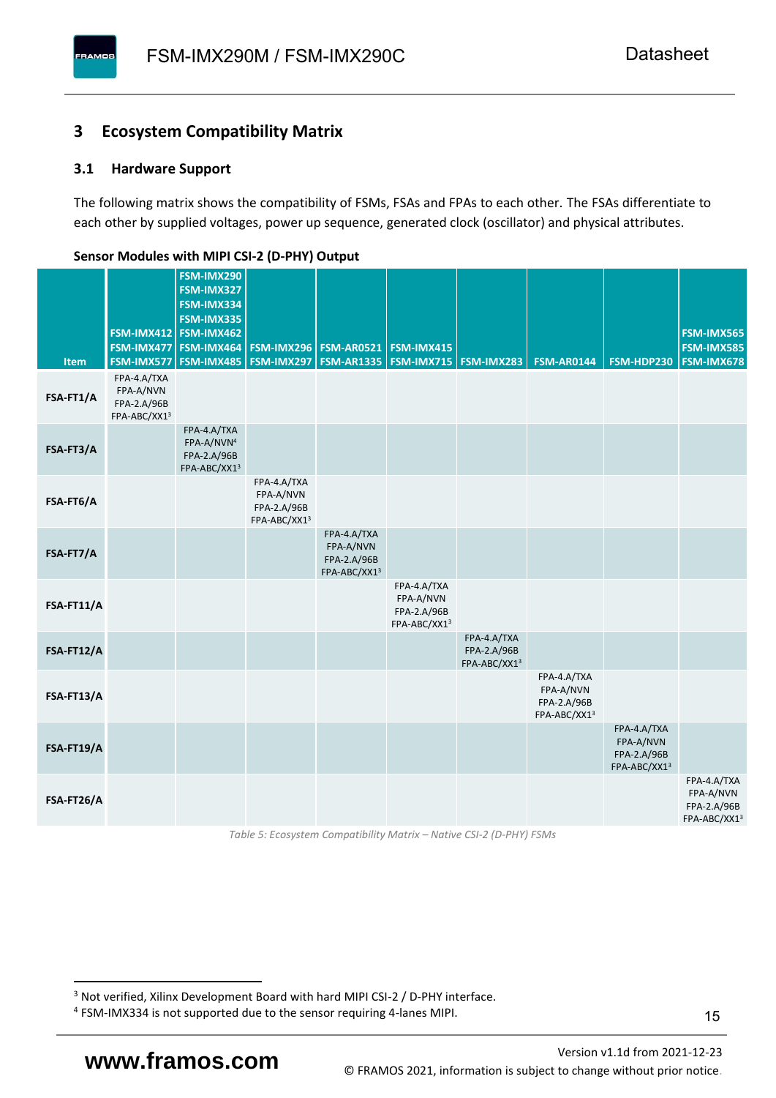#### <span id="page-16-0"></span>**3 Ecosystem Compatibility Matrix**

#### <span id="page-16-1"></span>**3.1 Hardware Support**

**PAMOS** 

The following matrix shows the compatibility of FSMs, FSAs and FPAs to each other. The FSAs differentiate to each other by supplied voltages, power up sequence, generated clock (oscillator) and physical attributes.

|            |                                                         | FSM-IMX290<br>FSM-IMX327                                             |                                                         |                                                         |                                                         |                                            |                                                         |                                                         |                                                         |
|------------|---------------------------------------------------------|----------------------------------------------------------------------|---------------------------------------------------------|---------------------------------------------------------|---------------------------------------------------------|--------------------------------------------|---------------------------------------------------------|---------------------------------------------------------|---------------------------------------------------------|
|            |                                                         | FSM-IMX334<br>FSM-IMX335                                             |                                                         |                                                         |                                                         |                                            |                                                         |                                                         |                                                         |
|            |                                                         | FSM-IMX412 FSM-IMX462<br>FSM-IMX477 FSM-IMX464                       |                                                         | <b>FSM-IMX296 FSM-AR0521</b>                            | FSM-IMX415                                              |                                            |                                                         |                                                         | FSM-IMX565<br><b>FSM-IMX585</b>                         |
| Item       | FSM-IMX577                                              | FSM-IMX485                                                           |                                                         | <b>FSM-IMX297   FSM-AR1335  </b>                        | <b>FSM-IMX715 FSM-IMX283</b>                            |                                            | <b>FSM-AR0144</b>                                       | FSM-HDP230                                              | <b>FSM-IMX678</b>                                       |
| FSA-FT1/A  | FPA-4.A/TXA<br>FPA-A/NVN<br>FPA-2.A/96B<br>FPA-ABC/XX13 |                                                                      |                                                         |                                                         |                                                         |                                            |                                                         |                                                         |                                                         |
| FSA-FT3/A  |                                                         | FPA-4.A/TXA<br>FPA-A/NVN <sup>4</sup><br>FPA-2.A/96B<br>FPA-ABC/XX13 |                                                         |                                                         |                                                         |                                            |                                                         |                                                         |                                                         |
| FSA-FT6/A  |                                                         |                                                                      | FPA-4.A/TXA<br>FPA-A/NVN<br>FPA-2.A/96B<br>FPA-ABC/XX13 |                                                         |                                                         |                                            |                                                         |                                                         |                                                         |
| FSA-FT7/A  |                                                         |                                                                      |                                                         | FPA-4.A/TXA<br>FPA-A/NVN<br>FPA-2.A/96B<br>FPA-ABC/XX13 |                                                         |                                            |                                                         |                                                         |                                                         |
| FSA-FT11/A |                                                         |                                                                      |                                                         |                                                         | FPA-4.A/TXA<br>FPA-A/NVN<br>FPA-2.A/96B<br>FPA-ABC/XX13 |                                            |                                                         |                                                         |                                                         |
| FSA-FT12/A |                                                         |                                                                      |                                                         |                                                         |                                                         | FPA-4.A/TXA<br>FPA-2.A/96B<br>FPA-ABC/XX13 |                                                         |                                                         |                                                         |
| FSA-FT13/A |                                                         |                                                                      |                                                         |                                                         |                                                         |                                            | FPA-4.A/TXA<br>FPA-A/NVN<br>FPA-2.A/96B<br>FPA-ABC/XX13 |                                                         |                                                         |
| FSA-FT19/A |                                                         |                                                                      |                                                         |                                                         |                                                         |                                            |                                                         | FPA-4.A/TXA<br>FPA-A/NVN<br>FPA-2.A/96B<br>FPA-ABC/XX13 |                                                         |
| FSA-FT26/A |                                                         |                                                                      |                                                         |                                                         |                                                         |                                            |                                                         |                                                         | FPA-4.A/TXA<br>FPA-A/NVN<br>FPA-2.A/96B<br>FPA-ABC/XX13 |

#### <span id="page-16-2"></span>**Sensor Modules with MIPI CSI-2 (D-PHY) Output**

*Table 5: Ecosystem Compatibility Matrix – Native CSI-2 (D-PHY) FSMs*

<sup>&</sup>lt;sup>3</sup> Not verified, Xilinx Development Board with hard MIPI CSI-2 / D-PHY interface.

<sup>4</sup> FSM-IMX334 is not supported due to the sensor requiring 4-lanes MIPI.